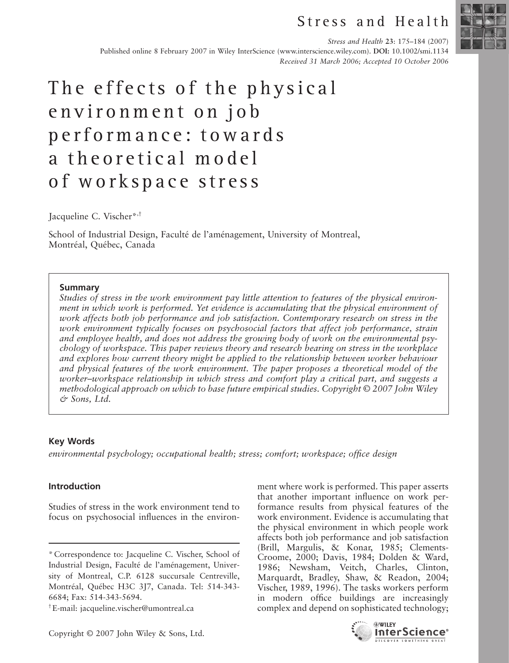# Stress and Health



*Stress and Health* **23**: 175–184 (2007) Published online 8 February 2007 in Wiley InterScience (www.interscience.wiley.com). **DOI:** 10.1002/smi.1134 *Received 31 March 2006; Accepted 10 October 2006*

# The effects of the physical environment on job performance: towards a theoretical model of workspace stress

Jacqueline C. Vischer\*,†

School of Industrial Design, Faculté de l'aménagement, University of Montreal, Montréal, Québec, Canada

#### **Summary**

*Studies of stress in the work environment pay little attention to features of the physical environment in which work is performed. Yet evidence is accumulating that the physical environment of work affects both job performance and job satisfaction. Contemporary research on stress in the work environment typically focuses on psychosocial factors that affect job performance, strain and employee health, and does not address the growing body of work on the environmental psychology of workspace. This paper reviews theory and research bearing on stress in the workplace and explores how current theory might be applied to the relationship between worker behaviour and physical features of the work environment. The paper proposes a theoretical model of the worker–workspace relationship in which stress and comfort play a critical part, and suggests a methodological approach on which to base future empirical studies. Copyright © 2007 John Wiley & Sons, Ltd.*

#### **Key Words**

*environmental psychology; occupational health; stress; comfort; workspace; office design*

#### **Introduction**

Studies of stress in the work environment tend to focus on psychosocial influences in the environment where work is performed. This paper asserts that another important influence on work performance results from physical features of the work environment. Evidence is accumulating that the physical environment in which people work affects both job performance and job satisfaction (Brill, Margulis, & Konar, 1985; Clements-Croome, 2000; Davis, 1984; Dolden & Ward, 1986; Newsham, Veitch, Charles, Clinton, Marquardt, Bradley, Shaw, & Readon, 2004; Vischer, 1989, 1996). The tasks workers perform in modern office buildings are increasingly complex and depend on sophisticated technology;



<sup>\*</sup>Correspondence to: Jacqueline C. Vischer, School of Industrial Design, Faculté de l'aménagement, University of Montreal, C.P. 6128 succursale Centreville, Montréal, Québec H3C 3J7, Canada. Tel: 514-343- 6684; Fax: 514-343-5694.

<sup>†</sup>E-mail: jacqueline.vischer@umontreal.ca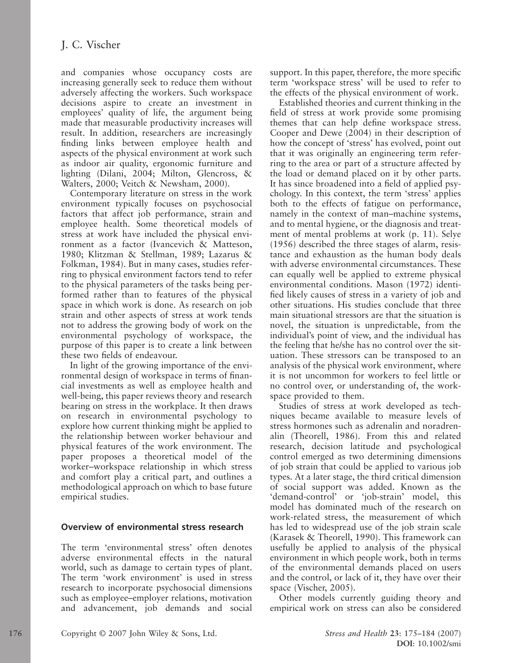and companies whose occupancy costs are increasing generally seek to reduce them without adversely affecting the workers. Such workspace decisions aspire to create an investment in employees' quality of life, the argument being made that measurable productivity increases will result. In addition, researchers are increasingly finding links between employee health and aspects of the physical environment at work such as indoor air quality, ergonomic furniture and lighting (Dilani, 2004; Milton, Glencross, & Walters, 2000; Veitch & Newsham, 2000).

Contemporary literature on stress in the work environment typically focuses on psychosocial factors that affect job performance, strain and employee health. Some theoretical models of stress at work have included the physical environment as a factor (Ivancevich & Matteson, 1980; Klitzman & Stellman, 1989; Lazarus & Folkman, 1984). But in many cases, studies referring to physical environment factors tend to refer to the physical parameters of the tasks being performed rather than to features of the physical space in which work is done. As research on job strain and other aspects of stress at work tends not to address the growing body of work on the environmental psychology of workspace, the purpose of this paper is to create a link between these two fields of endeavour.

In light of the growing importance of the environmental design of workspace in terms of financial investments as well as employee health and well-being, this paper reviews theory and research bearing on stress in the workplace. It then draws on research in environmental psychology to explore how current thinking might be applied to the relationship between worker behaviour and physical features of the work environment. The paper proposes a theoretical model of the worker–workspace relationship in which stress and comfort play a critical part, and outlines a methodological approach on which to base future empirical studies.

#### **Overview of environmental stress research**

The term 'environmental stress' often denotes adverse environmental effects in the natural world, such as damage to certain types of plant. The term 'work environment' is used in stress research to incorporate psychosocial dimensions such as employee–employer relations, motivation and advancement, job demands and social support. In this paper, therefore, the more specific term 'workspace stress' will be used to refer to the effects of the physical environment of work.

Established theories and current thinking in the field of stress at work provide some promising themes that can help define workspace stress. Cooper and Dewe (2004) in their description of how the concept of 'stress' has evolved, point out that it was originally an engineering term referring to the area or part of a structure affected by the load or demand placed on it by other parts. It has since broadened into a field of applied psychology. In this context, the term 'stress' applies both to the effects of fatigue on performance, namely in the context of man–machine systems, and to mental hygiene, or the diagnosis and treatment of mental problems at work (p. 11). Selye (1956) described the three stages of alarm, resistance and exhaustion as the human body deals with adverse environmental circumstances. These can equally well be applied to extreme physical environmental conditions. Mason (1972) identified likely causes of stress in a variety of job and other situations. His studies conclude that three main situational stressors are that the situation is novel, the situation is unpredictable, from the individual's point of view, and the individual has the feeling that he/she has no control over the situation. These stressors can be transposed to an analysis of the physical work environment, where it is not uncommon for workers to feel little or no control over, or understanding of, the workspace provided to them.

Studies of stress at work developed as techniques became available to measure levels of stress hormones such as adrenalin and noradrenalin (Theorell, 1986). From this and related research, decision latitude and psychological control emerged as two determining dimensions of job strain that could be applied to various job types. At a later stage, the third critical dimension of social support was added. Known as the 'demand-control' or 'job-strain' model, this model has dominated much of the research on work-related stress, the measurement of which has led to widespread use of the job strain scale (Karasek & Theorell, 1990). This framework can usefully be applied to analysis of the physical environment in which people work, both in terms of the environmental demands placed on users and the control, or lack of it, they have over their space (Vischer, 2005).

Other models currently guiding theory and empirical work on stress can also be considered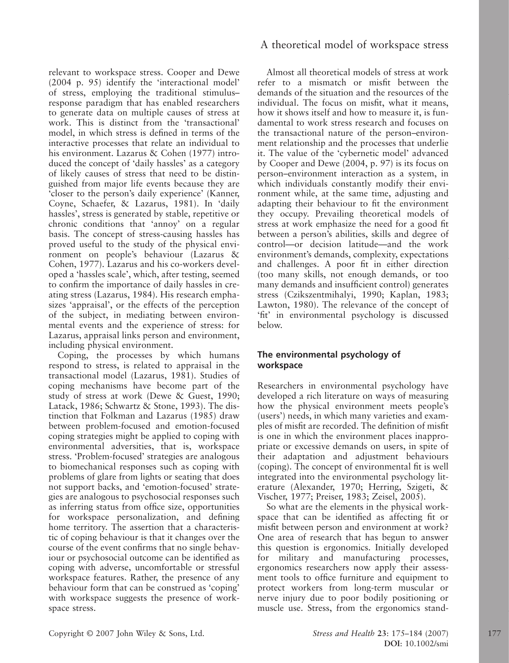relevant to workspace stress. Cooper and Dewe (2004 p. 95) identify the 'interactional model' of stress, employing the traditional stimulus– response paradigm that has enabled researchers to generate data on multiple causes of stress at work. This is distinct from the 'transactional' model, in which stress is defined in terms of the interactive processes that relate an individual to his environment. Lazarus & Cohen (1977) introduced the concept of 'daily hassles' as a category of likely causes of stress that need to be distinguished from major life events because they are 'closer to the person's daily experience' (Kanner, Coyne, Schaefer, & Lazarus, 1981). In 'daily hassles', stress is generated by stable, repetitive or chronic conditions that 'annoy' on a regular basis. The concept of stress-causing hassles has proved useful to the study of the physical environment on people's behaviour (Lazarus & Cohen, 1977). Lazarus and his co-workers developed a 'hassles scale', which, after testing, seemed to confirm the importance of daily hassles in creating stress (Lazarus, 1984). His research emphasizes 'appraisal', or the effects of the perception of the subject, in mediating between environmental events and the experience of stress: for Lazarus, appraisal links person and environment, including physical environment.

Coping, the processes by which humans respond to stress, is related to appraisal in the transactional model (Lazarus, 1981). Studies of coping mechanisms have become part of the study of stress at work (Dewe & Guest, 1990; Latack, 1986; Schwartz & Stone, 1993). The distinction that Folkman and Lazarus (1985) draw between problem-focused and emotion-focused coping strategies might be applied to coping with environmental adversities, that is, workspace stress. 'Problem-focused' strategies are analogous to biomechanical responses such as coping with problems of glare from lights or seating that does not support backs, and 'emotion-focused' strategies are analogous to psychosocial responses such as inferring status from office size, opportunities for workspace personalization, and defining home territory. The assertion that a characteristic of coping behaviour is that it changes over the course of the event confirms that no single behaviour or psychosocial outcome can be identified as coping with adverse, uncomfortable or stressful workspace features. Rather, the presence of any behaviour form that can be construed as 'coping' with workspace suggests the presence of workspace stress.

## A theoretical model of workspace stress

Almost all theoretical models of stress at work refer to a mismatch or misfit between the demands of the situation and the resources of the individual. The focus on misfit, what it means, how it shows itself and how to measure it, is fundamental to work stress research and focuses on the transactional nature of the person–environment relationship and the processes that underlie it. The value of the 'cybernetic model' advanced by Cooper and Dewe (2004, p. 97) is its focus on person–environment interaction as a system, in which individuals constantly modify their environment while, at the same time, adjusting and adapting their behaviour to fit the environment they occupy. Prevailing theoretical models of stress at work emphasize the need for a good fit between a person's abilities, skills and degree of control—or decision latitude—and the work environment's demands, complexity, expectations and challenges. A poor fit in either direction (too many skills, not enough demands, or too many demands and insufficient control) generates stress (Czikszentmihalyi, 1990; Kaplan, 1983; Lawton, 1980). The relevance of the concept of 'fit' in environmental psychology is discussed below.

#### **The environmental psychology of workspace**

Researchers in environmental psychology have developed a rich literature on ways of measuring how the physical environment meets people's (users') needs, in which many varieties and examples of misfit are recorded. The definition of misfit is one in which the environment places inappropriate or excessive demands on users, in spite of their adaptation and adjustment behaviours (coping). The concept of environmental fit is well integrated into the environmental psychology literature (Alexander, 1970; Herring, Szigeti, & Vischer, 1977; Preiser, 1983; Zeisel, 2005).

So what are the elements in the physical workspace that can be identified as affecting fit or misfit between person and environment at work? One area of research that has begun to answer this question is ergonomics. Initially developed for military and manufacturing processes, ergonomics researchers now apply their assessment tools to office furniture and equipment to protect workers from long-term muscular or nerve injury due to poor bodily positioning or muscle use. Stress, from the ergonomics stand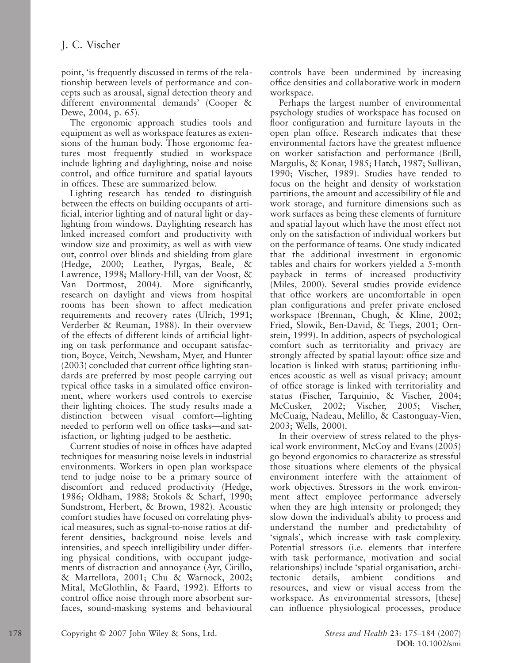point, 'is frequently discussed in terms of the relationship between levels of performance and concepts such as arousal, signal detection theory and different environmental demands' (Cooper & Dewe, 2004, p. 65).

The ergonomic approach studies tools and equipment as well as workspace features as extensions of the human body. Those ergonomic features most frequently studied in workspace include lighting and daylighting, noise and noise control, and office furniture and spatial layouts in offices. These are summarized below.

Lighting research has tended to distinguish between the effects on building occupants of artificial, interior lighting and of natural light or daylighting from windows. Daylighting research has linked increased comfort and productivity with window size and proximity, as well as with view out, control over blinds and shielding from glare (Hedge, 2000; Leather, Pyrgas, Beale, & Lawrence, 1998; Mallory-Hill, van der Voost, & Van Dortmost, 2004). More significantly, research on daylight and views from hospital rooms has been shown to affect medication requirements and recovery rates (Ulrich, 1991; Verderber & Reuman, 1988). In their overview of the effects of different kinds of artificial lighting on task performance and occupant satisfaction, Boyce, Veitch, Newsham, Myer, and Hunter (2003) concluded that current office lighting standards are preferred by most people carrying out typical office tasks in a simulated office environment, where workers used controls to exercise their lighting choices. The study results made a distinction between visual comfort—lighting needed to perform well on office tasks—and satisfaction, or lighting judged to be aesthetic.

Current studies of noise in offices have adapted techniques for measuring noise levels in industrial environments. Workers in open plan workspace tend to judge noise to be a primary source of discomfort and reduced productivity (Hedge, 1986; Oldham, 1988; Stokols & Scharf, 1990; Sundstrom, Herbert, & Brown, 1982). Acoustic comfort studies have focused on correlating physical measures, such as signal-to-noise ratios at different densities, background noise levels and intensities, and speech intelligibility under differing physical conditions, with occupant judgements of distraction and annoyance (Ayr, Cirillo, & Martellota, 2001; Chu & Warnock, 2002; Mital, McGlothlin, & Faard, 1992). Efforts to control office noise through more absorbent surfaces, sound-masking systems and behavioural controls have been undermined by increasing office densities and collaborative work in modern workspace.

Perhaps the largest number of environmental psychology studies of workspace has focused on floor configuration and furniture layouts in the open plan office. Research indicates that these environmental factors have the greatest influence on worker satisfaction and performance (Brill, Margulis, & Konar, 1985; Hatch, 1987; Sullivan, 1990; Vischer, 1989). Studies have tended to focus on the height and density of workstation partitions, the amount and accessibility of file and work storage, and furniture dimensions such as work surfaces as being these elements of furniture and spatial layout which have the most effect not only on the satisfaction of individual workers but on the performance of teams. One study indicated that the additional investment in ergonomic tables and chairs for workers yielded a 5-month payback in terms of increased productivity (Miles, 2000). Several studies provide evidence that office workers are uncomfortable in open plan configurations and prefer private enclosed workspace (Brennan, Chugh, & Kline, 2002; Fried, Slowik, Ben-David, & Tiegs, 2001; Ornstein, 1999). In addition, aspects of psychological comfort such as territoriality and privacy are strongly affected by spatial layout: office size and location is linked with status; partitioning influences acoustic as well as visual privacy; amount of office storage is linked with territoriality and status (Fischer, Tarquinio, & Vischer, 2004; McCusker, 2002; Vischer, 2005; Vischer, McCuaig, Nadeau, Melillo, & Castonguay-Vien, 2003; Wells, 2000).

In their overview of stress related to the physical work environment, McCoy and Evans (2005) go beyond ergonomics to characterize as stressful those situations where elements of the physical environment interfere with the attainment of work objectives. Stressors in the work environment affect employee performance adversely when they are high intensity or prolonged; they slow down the individual's ability to process and understand the number and predictability of 'signals', which increase with task complexity. Potential stressors (i.e. elements that interfere with task performance, motivation and social relationships) include 'spatial organisation, architectonic details, ambient conditions and resources, and view or visual access from the workspace. As environmental stressors, [these] can influence physiological processes, produce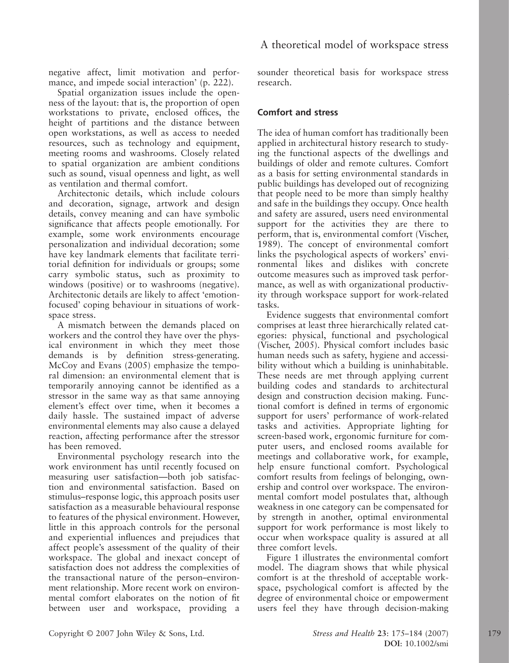negative affect, limit motivation and performance, and impede social interaction' (p. 222).

Spatial organization issues include the openness of the layout: that is, the proportion of open workstations to private, enclosed offices, the height of partitions and the distance between open workstations, as well as access to needed resources, such as technology and equipment, meeting rooms and washrooms. Closely related to spatial organization are ambient conditions such as sound, visual openness and light, as well as ventilation and thermal comfort.

Architectonic details, which include colours and decoration, signage, artwork and design details, convey meaning and can have symbolic significance that affects people emotionally. For example, some work environments encourage personalization and individual decoration; some have key landmark elements that facilitate territorial definition for individuals or groups; some carry symbolic status, such as proximity to windows (positive) or to washrooms (negative). Architectonic details are likely to affect 'emotionfocused' coping behaviour in situations of workspace stress.

A mismatch between the demands placed on workers and the control they have over the physical environment in which they meet those demands is by definition stress-generating. McCoy and Evans (2005) emphasize the temporal dimension: an environmental element that is temporarily annoying cannot be identified as a stressor in the same way as that same annoying element's effect over time, when it becomes a daily hassle. The sustained impact of adverse environmental elements may also cause a delayed reaction, affecting performance after the stressor has been removed.

Environmental psychology research into the work environment has until recently focused on measuring user satisfaction—both job satisfaction and environmental satisfaction. Based on stimulus–response logic, this approach posits user satisfaction as a measurable behavioural response to features of the physical environment. However, little in this approach controls for the personal and experiential influences and prejudices that affect people's assessment of the quality of their workspace. The global and inexact concept of satisfaction does not address the complexities of the transactional nature of the person–environment relationship. More recent work on environmental comfort elaborates on the notion of fit between user and workspace, providing a sounder theoretical basis for workspace stress research.

#### **Comfort and stress**

The idea of human comfort has traditionally been applied in architectural history research to studying the functional aspects of the dwellings and buildings of older and remote cultures. Comfort as a basis for setting environmental standards in public buildings has developed out of recognizing that people need to be more than simply healthy and safe in the buildings they occupy. Once health and safety are assured, users need environmental support for the activities they are there to perform, that is, environmental comfort (Vischer, 1989). The concept of environmental comfort links the psychological aspects of workers' environmental likes and dislikes with concrete outcome measures such as improved task performance, as well as with organizational productivity through workspace support for work-related tasks.

Evidence suggests that environmental comfort comprises at least three hierarchically related categories: physical, functional and psychological (Vischer, 2005). Physical comfort includes basic human needs such as safety, hygiene and accessibility without which a building is uninhabitable. These needs are met through applying current building codes and standards to architectural design and construction decision making. Functional comfort is defined in terms of ergonomic support for users' performance of work-related tasks and activities. Appropriate lighting for screen-based work, ergonomic furniture for computer users, and enclosed rooms available for meetings and collaborative work, for example, help ensure functional comfort. Psychological comfort results from feelings of belonging, ownership and control over workspace. The environmental comfort model postulates that, although weakness in one category can be compensated for by strength in another, optimal environmental support for work performance is most likely to occur when workspace quality is assured at all three comfort levels.

Figure 1 illustrates the environmental comfort model. The diagram shows that while physical comfort is at the threshold of acceptable workspace, psychological comfort is affected by the degree of environmental choice or empowerment users feel they have through decision-making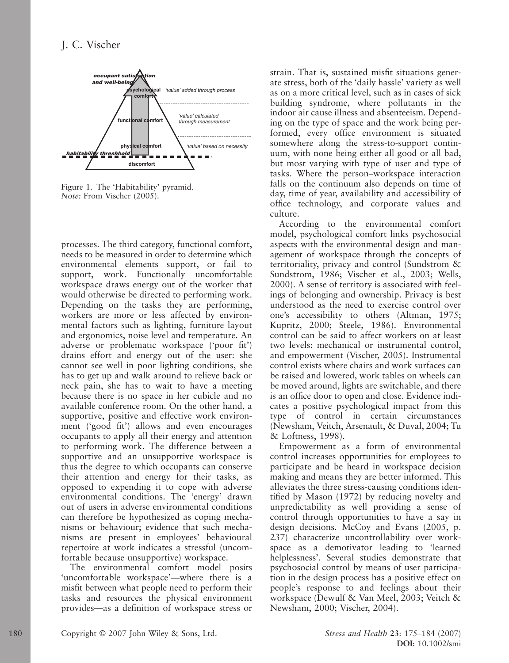

Figure 1. The 'Habitability' pyramid. *Note:* From Vischer (2005).

processes. The third category, functional comfort, needs to be measured in order to determine which environmental elements support, or fail to support, work. Functionally uncomfortable workspace draws energy out of the worker that would otherwise be directed to performing work. Depending on the tasks they are performing, workers are more or less affected by environmental factors such as lighting, furniture layout and ergonomics, noise level and temperature. An adverse or problematic workspace ('poor fit') drains effort and energy out of the user: she cannot see well in poor lighting conditions, she has to get up and walk around to relieve back or neck pain, she has to wait to have a meeting because there is no space in her cubicle and no available conference room. On the other hand, a supportive, positive and effective work environment ('good fit') allows and even encourages occupants to apply all their energy and attention to performing work. The difference between a supportive and an unsupportive workspace is thus the degree to which occupants can conserve their attention and energy for their tasks, as opposed to expending it to cope with adverse environmental conditions. The 'energy' drawn out of users in adverse environmental conditions can therefore be hypothesized as coping mechanisms or behaviour; evidence that such mechanisms are present in employees' behavioural repertoire at work indicates a stressful (uncomfortable because unsupportive) workspace.

The environmental comfort model posits 'uncomfortable workspace'—where there is a misfit between what people need to perform their tasks and resources the physical environment provides—as a definition of workspace stress or strain. That is, sustained misfit situations generate stress, both of the 'daily hassle' variety as well as on a more critical level, such as in cases of sick building syndrome, where pollutants in the indoor air cause illness and absenteeism. Depending on the type of space and the work being performed, every office environment is situated somewhere along the stress-to-support continuum, with none being either all good or all bad, but most varying with type of user and type of tasks. Where the person–workspace interaction falls on the continuum also depends on time of day, time of year, availability and accessibility of office technology, and corporate values and culture.

According to the environmental comfort model, psychological comfort links psychosocial aspects with the environmental design and management of workspace through the concepts of territoriality, privacy and control (Sundstrom & Sundstrom, 1986; Vischer et al., 2003; Wells, 2000). A sense of territory is associated with feelings of belonging and ownership. Privacy is best understood as the need to exercise control over one's accessibility to others (Altman, 1975; Kupritz, 2000; Steele, 1986). Environmental control can be said to affect workers on at least two levels: mechanical or instrumental control, and empowerment (Vischer, 2005). Instrumental control exists where chairs and work surfaces can be raised and lowered, work tables on wheels can be moved around, lights are switchable, and there is an office door to open and close. Evidence indicates a positive psychological impact from this type of control in certain circumstances (Newsham, Veitch, Arsenault, & Duval, 2004; Tu & Loftness, 1998).

Empowerment as a form of environmental control increases opportunities for employees to participate and be heard in workspace decision making and means they are better informed. This alleviates the three stress-causing conditions identified by Mason (1972) by reducing novelty and unpredictability as well providing a sense of control through opportunities to have a say in design decisions. McCoy and Evans (2005, p. 237) characterize uncontrollability over workspace as a demotivator leading to 'learned helplessness'. Several studies demonstrate that psychosocial control by means of user participation in the design process has a positive effect on people's response to and feelings about their workspace (Dewulf & Van Meel, 2003; Veitch & Newsham, 2000; Vischer, 2004).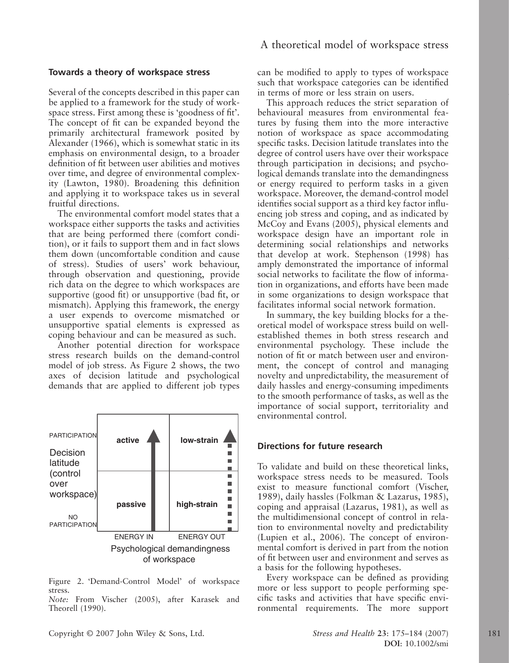#### **Towards a theory of workspace stress**

Several of the concepts described in this paper can be applied to a framework for the study of workspace stress. First among these is 'goodness of fit'. The concept of fit can be expanded beyond the primarily architectural framework posited by Alexander (1966), which is somewhat static in its emphasis on environmental design, to a broader definition of fit between user abilities and motives over time, and degree of environmental complexity (Lawton, 1980). Broadening this definition and applying it to workspace takes us in several fruitful directions.

The environmental comfort model states that a workspace either supports the tasks and activities that are being performed there (comfort condition), or it fails to support them and in fact slows them down (uncomfortable condition and cause of stress). Studies of users' work behaviour, through observation and questioning, provide rich data on the degree to which workspaces are supportive (good fit) or unsupportive (bad fit, or mismatch). Applying this framework, the energy a user expends to overcome mismatched or unsupportive spatial elements is expressed as coping behaviour and can be measured as such.

Another potential direction for workspace stress research builds on the demand-control model of job stress. As Figure 2 shows, the two axes of decision latitude and psychological demands that are applied to different job types



Figure 2. 'Demand-Control Model' of workspace stress. *Note:* From Vischer (2005), after Karasek and Theorell (1990).

can be modified to apply to types of workspace such that workspace categories can be identified in terms of more or less strain on users.

This approach reduces the strict separation of behavioural measures from environmental features by fusing them into the more interactive notion of workspace as space accommodating specific tasks. Decision latitude translates into the degree of control users have over their workspace through participation in decisions; and psychological demands translate into the demandingness or energy required to perform tasks in a given workspace. Moreover, the demand-control model identifies social support as a third key factor influencing job stress and coping, and as indicated by McCoy and Evans (2005), physical elements and workspace design have an important role in determining social relationships and networks that develop at work. Stephenson (1998) has amply demonstrated the importance of informal social networks to facilitate the flow of information in organizations, and efforts have been made in some organizations to design workspace that facilitates informal social network formation.

In summary, the key building blocks for a theoretical model of workspace stress build on wellestablished themes in both stress research and environmental psychology. These include the notion of fit or match between user and environment, the concept of control and managing novelty and unpredictability, the measurement of daily hassles and energy-consuming impediments to the smooth performance of tasks, as well as the importance of social support, territoriality and environmental control.

#### **Directions for future research**

To validate and build on these theoretical links, workspace stress needs to be measured. Tools exist to measure functional comfort (Vischer, 1989), daily hassles (Folkman & Lazarus, 1985), coping and appraisal (Lazarus, 1981), as well as the multidimensional concept of control in relation to environmental novelty and predictability (Lupien et al., 2006). The concept of environmental comfort is derived in part from the notion of fit between user and environment and serves as a basis for the following hypotheses.

Every workspace can be defined as providing more or less support to people performing specific tasks and activities that have specific environmental requirements. The more support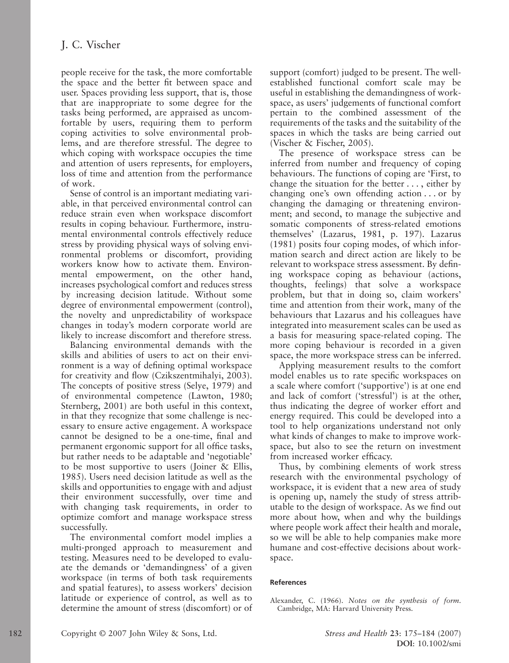people receive for the task, the more comfortable the space and the better fit between space and user. Spaces providing less support, that is, those that are inappropriate to some degree for the tasks being performed, are appraised as uncomfortable by users, requiring them to perform coping activities to solve environmental problems, and are therefore stressful. The degree to which coping with workspace occupies the time and attention of users represents, for employers, loss of time and attention from the performance of work.

Sense of control is an important mediating variable, in that perceived environmental control can reduce strain even when workspace discomfort results in coping behaviour. Furthermore, instrumental environmental controls effectively reduce stress by providing physical ways of solving environmental problems or discomfort, providing workers know how to activate them. Environmental empowerment, on the other hand, increases psychological comfort and reduces stress by increasing decision latitude. Without some degree of environmental empowerment (control), the novelty and unpredictability of workspace changes in today's modern corporate world are likely to increase discomfort and therefore stress.

Balancing environmental demands with the skills and abilities of users to act on their environment is a way of defining optimal workspace for creativity and flow (Czikszentmihalyi, 2003). The concepts of positive stress (Selye, 1979) and of environmental competence (Lawton, 1980; Sternberg, 2001) are both useful in this context, in that they recognize that some challenge is necessary to ensure active engagement. A workspace cannot be designed to be a one-time, final and permanent ergonomic support for all office tasks, but rather needs to be adaptable and 'negotiable' to be most supportive to users (Joiner & Ellis, 1985). Users need decision latitude as well as the skills and opportunities to engage with and adjust their environment successfully, over time and with changing task requirements, in order to optimize comfort and manage workspace stress successfully.

The environmental comfort model implies a multi-pronged approach to measurement and testing. Measures need to be developed to evaluate the demands or 'demandingness' of a given workspace (in terms of both task requirements and spatial features), to assess workers' decision latitude or experience of control, as well as to determine the amount of stress (discomfort) or of support (comfort) judged to be present. The wellestablished functional comfort scale may be useful in establishing the demandingness of workspace, as users' judgements of functional comfort pertain to the combined assessment of the requirements of the tasks and the suitability of the spaces in which the tasks are being carried out (Vischer & Fischer, 2005).

The presence of workspace stress can be inferred from number and frequency of coping behaviours. The functions of coping are 'First, to change the situation for the better . . . , either by changing one's own offending action . . . or by changing the damaging or threatening environment; and second, to manage the subjective and somatic components of stress-related emotions themselves' (Lazarus, 1981, p. 197). Lazarus (1981) posits four coping modes, of which information search and direct action are likely to be relevant to workspace stress assessment. By defining workspace coping as behaviour (actions, thoughts, feelings) that solve a workspace problem, but that in doing so, claim workers' time and attention from their work, many of the behaviours that Lazarus and his colleagues have integrated into measurement scales can be used as a basis for measuring space-related coping. The more coping behaviour is recorded in a given space, the more workspace stress can be inferred.

Applying measurement results to the comfort model enables us to rate specific workspaces on a scale where comfort ('supportive') is at one end and lack of comfort ('stressful') is at the other, thus indicating the degree of worker effort and energy required. This could be developed into a tool to help organizations understand not only what kinds of changes to make to improve workspace, but also to see the return on investment from increased worker efficacy.

Thus, by combining elements of work stress research with the environmental psychology of workspace, it is evident that a new area of study is opening up, namely the study of stress attributable to the design of workspace. As we find out more about how, when and why the buildings where people work affect their health and morale, so we will be able to help companies make more humane and cost-effective decisions about workspace.

#### **References**

Alexander, C. (1966). *Notes on the synthesis of form*. Cambridge, MA: Harvard University Press.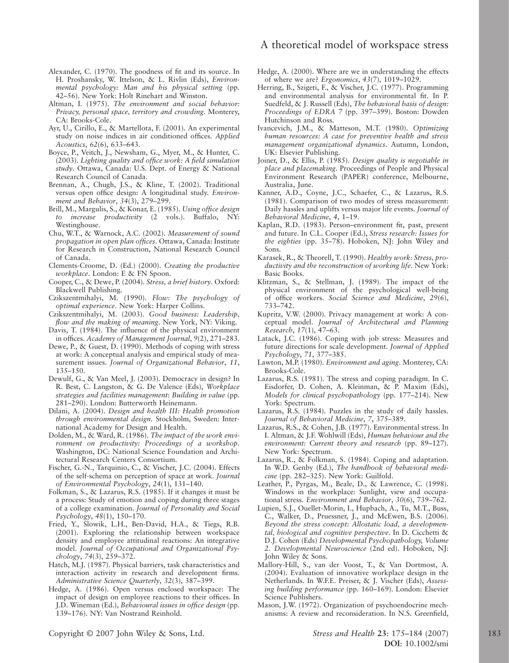- Alexander, C. (1970). The goodness of fit and its source. In H. Proshansky, W. Ittelson, & L. Rivlin (Eds), *Environmental psychology: Man and his physical setting* (pp. 42–56). New York: Holt Rinehart and Winston.
- Altman, I. (1975). *The environment and social behavior: Privacy, personal space, territory and crowding*. Monterey, CA: Brooks-Cole.
- Ayr, U., Cirillo, E., & Martellota, F. (2001). An experimental study on noise indices in air conditioned offices. *Applied Acoustics*, *62*(6), 633–643.
- Boyce, P., Veitch, J., Newsham, G., Myer, M., & Hunter, C. (2003). *Lighting quality and office work: A field simulation study*. Ottawa, Canada: U.S. Dept. of Energy & National Research Council of Canada.
- Brennan, A., Chugh, J.S., & Kline, T. (2002). Traditional versus open office design: A longitudinal study. *Environment and Behavior*, *34*(3), 279–299.
- Brill, M., Margulis, S., & Konar, E. (1985). *Using office design to increase productivity* (2 vols.). Buffalo, NY: Westinghouse.
- Chu, W.T., & Warnock, A.C. (2002). *Measurement of sound propagation in open plan offices*. Ottawa, Canada: Institute for Research in Construction, National Research Council of Canada.
- Clements-Croome, D. (Ed.) (2000). *Creating the productive workplace*. London: E & FN Spoon.
- Cooper, C., & Dewe, P. (2004). *Stress, a brief history*. Oxford: Blackwell Publishing.
- Czikszentmihalyi, M. (1990). *Flow: The psychology of optimal experience*. New York: Harper Collins.
- Czikszentmihalyi, M. (2003). *Good business: Leadership, flow and the making of meaning*. New York, NY: Viking.
- Davis, T. (1984). The influence of the physical environment in offices. *Academy of Management Journal*, *9*(2), 271–283.
- Dewe, P., & Guest, D. (1990). Methods of coping with stress at work: A conceptual analysis and empirical study of measurement issues. *Journal of Organizational Behavior*, *11*, 135–150.
- Dewulf, G., & Van Meel, J. (2003). Democracy in design? In R. Best, C. Langston, & G. De Valence (Eds), *Workplace strategies and facilities management*: *Building in value* (pp. 281–290). London: Butterworth Heinemann.
- Dilani, A. (2004). *Design and health III: Health promotion through environmental design*. Stockholm, Sweden: International Academy for Design and Health.
- Dolden, M., & Ward, R. (1986). *The impact of the work environment on productivity: Proceedings of a workshop*. Washington, DC: National Science Foundation and Architectural Research Centers Consortium.
- Fischer, G.-N., Tarquinio, C., & Vischer, J.C. (2004). Effects of the self-schema on perception of space at work. *Journal of Environmental Psychology*, *24*(1), 131–140.
- Folkman, S., & Lazarus, R.S. (1985). If it changes it must be a process: Study of emotion and coping during three stages of a college examination. *Journal of Personality and Social Psychology*, *48*(1), 150–170.
- Fried, Y., Slowik, L.H., Ben-David, H.A., & Tiegs, R.B. (2001). Exploring the relationship between workspace density and employee attitudinal reactions: An integrative model. *Journal of Occupational and Organizational Psychology*, *74*(3), 259–372.
- Hatch, M.J. (1987). Physical barriers, task characteristics and interaction activity in research and development firms. *Administrative Science Quarterly*, *32*(3), 387–399.
- Hedge, A. (1986). Open versus enclosed workspace: The impact of design on employee reactions to their offices. In J.D. Wineman (Ed.), *Behavioural issues in office design* (pp. 139–176). NY: Van Nostrand Reinhold.
- Hedge, A. (2000). Where are we in understanding the effects of where we are? *Ergonomics*, *43*(7), 1019–1029.
- Herring, B., Szigeti, F., & Vischer, J.C. (1977). Programming and environmental analysis for environmental fit. In P. Suedfeld, & J. Russell (Eds), *The behavioral basis of design: Proceedings of EDRA 7* (pp. 397–399). Boston: Dowden Hutchinson and Ross.
- Ivancevich, J.M., & Matteson, M.T. (1980). *Optimizing human resources: A case for preventive health and stress management organizational dynamics*. Autumn, London, UK: Elsevier Publishing.
- Joiner, D., & Ellis, P. (1985). *Design quality is negotiable in place and placemaking*. Proceedings of People and Physical Environment Research (PAPER) conference, Melbourne, Australia, June.
- Kanner, A.D., Coyne, J.C., Schaefer, C., & Lazarus, R.S. (1981). Comparison of two modes of stress measurement: Daily hassles and uplifts versus major life events. *Journal of Behavioral Medicine*, *4*, 1–19.
- Kaplan, R.D. (1983). Person–environment fit, past, present and future. In C.L. Cooper (Ed.), *Stress research: Issues for the eighties* (pp. 35–78). Hoboken, NJ: John Wiley and Sons.
- Karasek, R., & Theorell, T. (1990). *Healthy work: Stress, productivity and the reconstruction of working life*. New York: Basic Books.
- Klitzman, S., & Stellman, J. (1989). The impact of the physical environment of the psychological well-being of office workers. *Social Science and Medicine*, *29*(6), 733–742.
- Kupritz, V.W. (2000). Privacy management at work: A conceptual model. *Journal of Architectural and Planning Research*, *17*(1), 47–63.
- Latack, J.C. (1986). Coping with job stress: Measures and future directions for scale development. *Journal of Applied Psychology*, *71*, 377–385.
- Lawton, M.P. (1980). *Environment and aging*. Monterey, CA: Brooks-Cole.
- Lazarus, R.S. (1981). The stress and coping paradigm. In C. Eisdorfer, D. Cohen, A. Kleinman, & P. Maxim (Eds), *Models for clinical psychopathology* (pp. 177–214). New York: Spectrum.
- Lazarus, R.S. (1984). Puzzles in the study of daily hassles. *Journal of Behavioral Medicine*, *7*, 375–389.
- Lazarus, R.S., & Cohen, J.B. (1977). Environmental stress. In I. Altman, & J.F. Wohlwill (Eds), *Human behaviour and the environment: Current theory and research* (pp. 89–127). New York: Spectrum.
- Lazarus, R., & Folkman, S. (1984). Coping and adaptation. In W.D. Genby (Ed.), *The handbook of behavioral medicine* (pp. 282–325). New York: Guilfold.
- Leather, P., Pyrgas, M., Beale, D., & Lawrence, C. (1998). Windows in the workplace: Sunlight, view and occupational stress. *Environment and Behavior*, *30*(6), 739–762.
- Lupien, S.J., Ouellet-Morin, I., Hupbach, A., Tu, M.T., Buss, C., Walker, D., Pruessner, J., and McEwen, B.S. (2006). *Beyond the stress concept: Allostatic load, a developmental, biological and cognitive perspective*. In D. Cicchetti & D.J. Cohen (Eds) *Developmental Psychopathology, Volume 2. Developmental Neuroscience* (2nd ed). Hoboken, NJ: John Wiley & Sons.
- Mallory-Hill, S., van der Voost, T., & Van Dortmost, A. (2004). Evaluation of innovative workplace design in the Netherlands. In W.F.E. Preiser, & J. Vischer (Eds), *Assessing building performance* (pp. 160–169). London: Elsevier Science Publishers.
- Mason, J.W. (1972). Organization of psychoendocrine mechanisms: A review and reconsideration. In N.S. Greenfield,